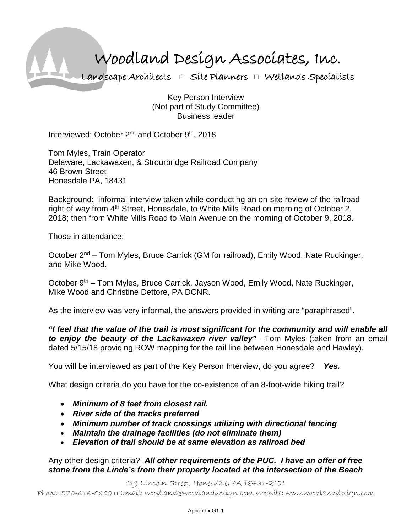## Woodland Design Associates, Inc. Landscape Architects **□** Site Planners **□** Wetlands Specialists

Key Person Interview (Not part of Study Committee) Business leader

Interviewed: October 2<sup>nd</sup> and October 9<sup>th</sup>, 2018

Tom Myles, Train Operator Delaware, Lackawaxen, & Strourbridge Railroad Company 46 Brown Street Honesdale PA, 18431

Background: informal interview taken while conducting an on-site review of the railroad right of way from  $4<sup>th</sup>$  Street, Honesdale, to White Mills Road on morning of October 2, 2018; then from White Mills Road to Main Avenue on the morning of October 9, 2018.

Those in attendance:

October 2<sup>nd</sup> – Tom Myles, Bruce Carrick (GM for railroad), Emily Wood, Nate Ruckinger, and Mike Wood.

October 9<sup>th</sup> – Tom Myles, Bruce Carrick, Jayson Wood, Emily Wood, Nate Ruckinger, Mike Wood and Christine Dettore, PA DCNR.

As the interview was very informal, the answers provided in writing are "paraphrased".

*"I feel that the value of the trail is most significant for the community and will enable all to enjoy the beauty of the Lackawaxen river valley"* –Tom Myles (taken from an email dated 5/15/18 providing ROW mapping for the rail line between Honesdale and Hawley).

You will be interviewed as part of the Key Person Interview, do you agree? *Yes.*

What design criteria do you have for the co-existence of an 8-foot-wide hiking trail?

- *Minimum of 8 feet from closest rail.*
- *River side of the tracks preferred*
- *Minimum number of track crossings utilizing with directional fencing*
- *Maintain the drainage facilities (do not eliminate them)*
- *Elevation of trail should be at same elevation as railroad bed*

Any other design criteria? *All other requirements of the PUC. I have an offer of free stone from the Linde's from their property located at the intersection of the Beach* 

119 Lincoln Street, Honesdale, PA 18431-2151

Phone: 570-616-0600 □ Email: woodland@woodlanddesign.com Website: www.woodlanddesign.com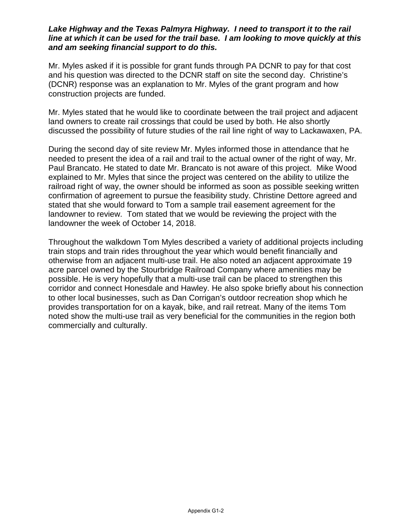## *Lake Highway and the Texas Palmyra Highway. I need to transport it to the rail line at which it can be used for the trail base. I am looking to move quickly at this and am seeking financial support to do this.*

Mr. Myles asked if it is possible for grant funds through PA DCNR to pay for that cost and his question was directed to the DCNR staff on site the second day. Christine's (DCNR) response was an explanation to Mr. Myles of the grant program and how construction projects are funded.

Mr. Myles stated that he would like to coordinate between the trail project and adjacent land owners to create rail crossings that could be used by both. He also shortly discussed the possibility of future studies of the rail line right of way to Lackawaxen, PA.

During the second day of site review Mr. Myles informed those in attendance that he needed to present the idea of a rail and trail to the actual owner of the right of way, Mr. Paul Brancato. He stated to date Mr. Brancato is not aware of this project. Mike Wood explained to Mr. Myles that since the project was centered on the ability to utilize the railroad right of way, the owner should be informed as soon as possible seeking written confirmation of agreement to pursue the feasibility study. Christine Dettore agreed and stated that she would forward to Tom a sample trail easement agreement for the landowner to review. Tom stated that we would be reviewing the project with the landowner the week of October 14, 2018.

Throughout the walkdown Tom Myles described a variety of additional projects including train stops and train rides throughout the year which would benefit financially and otherwise from an adjacent multi-use trail. He also noted an adjacent approximate 19 acre parcel owned by the Stourbridge Railroad Company where amenities may be possible. He is very hopefully that a multi-use trail can be placed to strengthen this corridor and connect Honesdale and Hawley. He also spoke briefly about his connection to other local businesses, such as Dan Corrigan's outdoor recreation shop which he provides transportation for on a kayak, bike, and rail retreat. Many of the items Tom noted show the multi-use trail as very beneficial for the communities in the region both commercially and culturally.